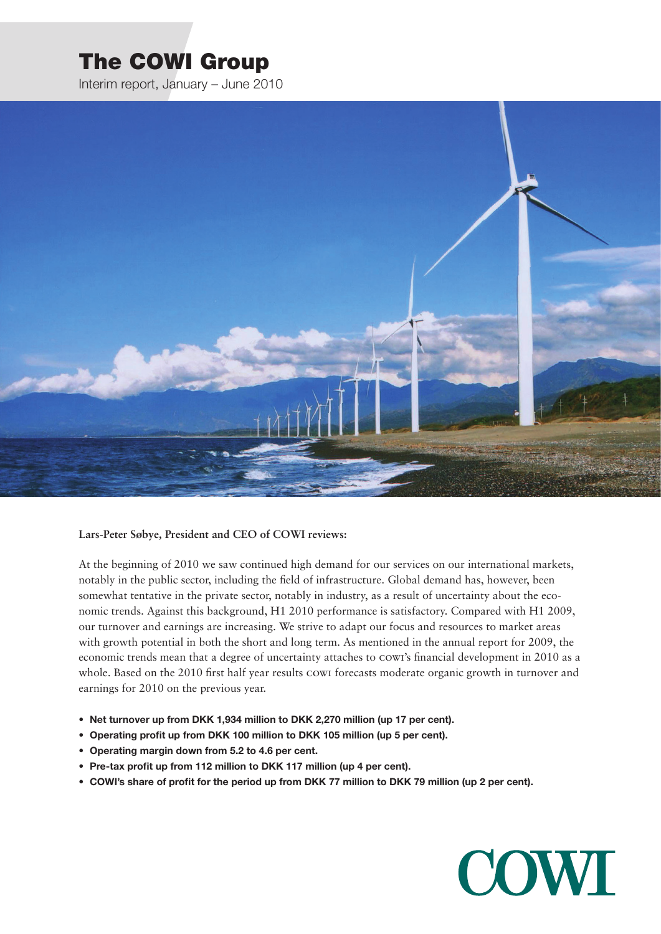# The COWI Group

Interim report, January – June 2010



**Lars-Peter Søbye, President and CEO of COWI reviews:**

At the beginning of 2010 we saw continued high demand for our services on our international markets, notably in the public sector, including the field of infrastructure. Global demand has, however, been somewhat tentative in the private sector, notably in industry, as a result of uncertainty about the economic trends. Against this background, H1 2010 performance is satisfactory. Compared with H1 2009, our turnover and earnings are increasing. We strive to adapt our focus and resources to market areas with growth potential in both the short and long term. As mentioned in the annual report for 2009, the economic trends mean that a degree of uncertainty attaches to cowi's financial development in 2010 as a whole. Based on the 2010 first half year results cowi forecasts moderate organic growth in turnover and earnings for 2010 on the previous year.

- **• Net turnover up from DKK 1,934 million to DKK 2,270 million (up 17 per cent).**
- **• Operating profit up from DKK 100 million to DKK 105 million (up 5 per cent).**
- **• Operating margin down from 5.2 to 4.6 per cent.**
- **• Pre-tax profit up from 112 million to DKK 117 million (up 4 per cent).**
- COWI's share of profit for the period up from DKK 77 million to DKK 79 million (up 2 per cent).

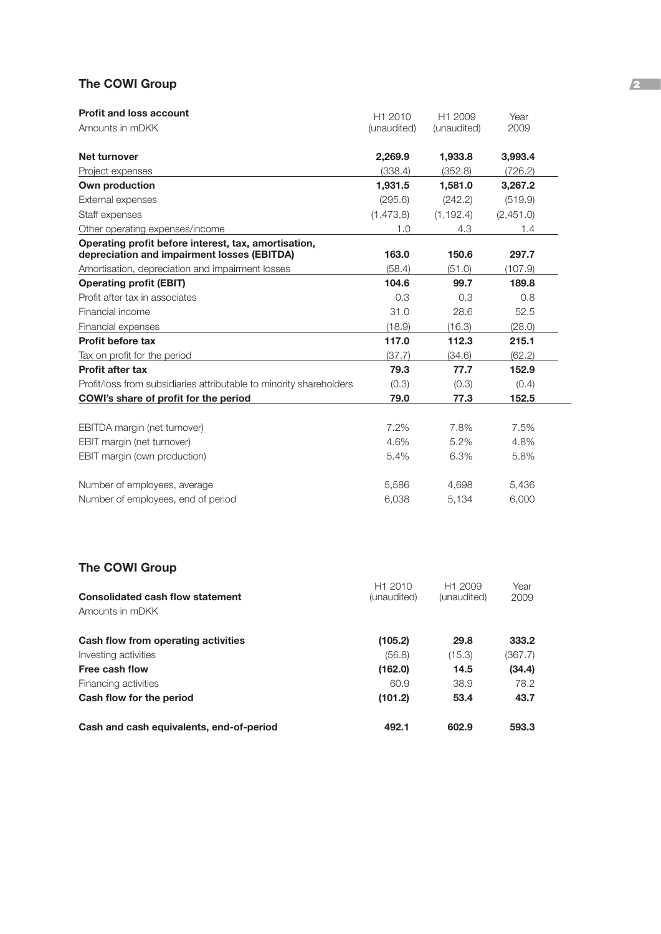### **The COWI Group 2008**

| <b>Profit and loss account</b>                                                                      | H1 2010     | H1 2009     | Year      |  |
|-----------------------------------------------------------------------------------------------------|-------------|-------------|-----------|--|
| Amounts in mDKK                                                                                     | (unaudited) | (unaudited) | 2009      |  |
| Net turnover                                                                                        | 2,269.9     | 1,933.8     | 3,993.4   |  |
| Project expenses                                                                                    | (338.4)     | (352.8)     | (726.2)   |  |
| Own production                                                                                      | 1.931.5     | 1,581.0     | 3,267.2   |  |
| External expenses                                                                                   | (295.6)     | (242.2)     | (519.9)   |  |
| Staff expenses                                                                                      | (1, 473.8)  | (1, 192.4)  | (2,451.0) |  |
| Other operating expenses/income                                                                     | 1.0         | 4.3         | 1.4       |  |
| Operating profit before interest, tax, amortisation,<br>depreciation and impairment losses (EBITDA) | 163.0       | 150.6       | 297.7     |  |
| Amortisation, depreciation and impairment losses                                                    | (58.4)      | (51.0)      | (107.9)   |  |
| <b>Operating profit (EBIT)</b>                                                                      | 104.6       | 99.7        | 189.8     |  |
| Profit after tax in associates                                                                      | 0.3         | 0.3         | 0.8       |  |
| Financial income                                                                                    | 31.0        | 28.6        | 52.5      |  |
| Financial expenses                                                                                  | (18.9)      | (16.3)      | (28.0)    |  |
| <b>Profit before tax</b>                                                                            | 117.0       | 112.3       | 215.1     |  |
| Tax on profit for the period                                                                        | (37.7)      | (34.6)      | (62.2)    |  |
| <b>Profit after tax</b>                                                                             | 79.3        | 77.7        | 152.9     |  |
| Profit/loss from subsidiaries attributable to minority shareholders                                 | (0.3)       | (0.3)       | (0.4)     |  |
| COWI's share of profit for the period                                                               | 79.0        | 77.3        | 152.5     |  |
|                                                                                                     |             |             |           |  |
| EBITDA margin (net turnover)                                                                        | 7.2%        | 7.8%        | 7.5%      |  |
| EBIT margin (net turnover)                                                                          | 4.6%        | 5.2%        | 4.8%      |  |
| EBIT margin (own production)                                                                        | 5.4%        | 6.3%        | 5.8%      |  |
| Number of employees, average                                                                        | 5,586       | 4,698       | 5,436     |  |
| Number of employees, end of period                                                                  | 6,038       | 5,134       | 6,000     |  |

# **The COWI Group**

| Consolidated cash flow statement<br>Amounts in mDKK | H <sub>1</sub> 2010<br>(unaudited) | H <sub>1</sub> 2009<br>(unaudited) | Year<br>2009 |
|-----------------------------------------------------|------------------------------------|------------------------------------|--------------|
| Cash flow from operating activities                 | (105.2)                            | 29.8                               | 333.2        |
| Investing activities                                | (56.8)                             | (15.3)                             | (367.7)      |
| Free cash flow                                      | (162.0)                            | 14.5                               | (34.4)       |
| Financing activities                                | 60.9                               | 38.9                               | 78.2         |
| Cash flow for the period                            | (101.2)                            | 53.4                               | 43.7         |
| Cash and cash equivalents, end-of-period            | 492.1                              | 602.9                              | 593.3        |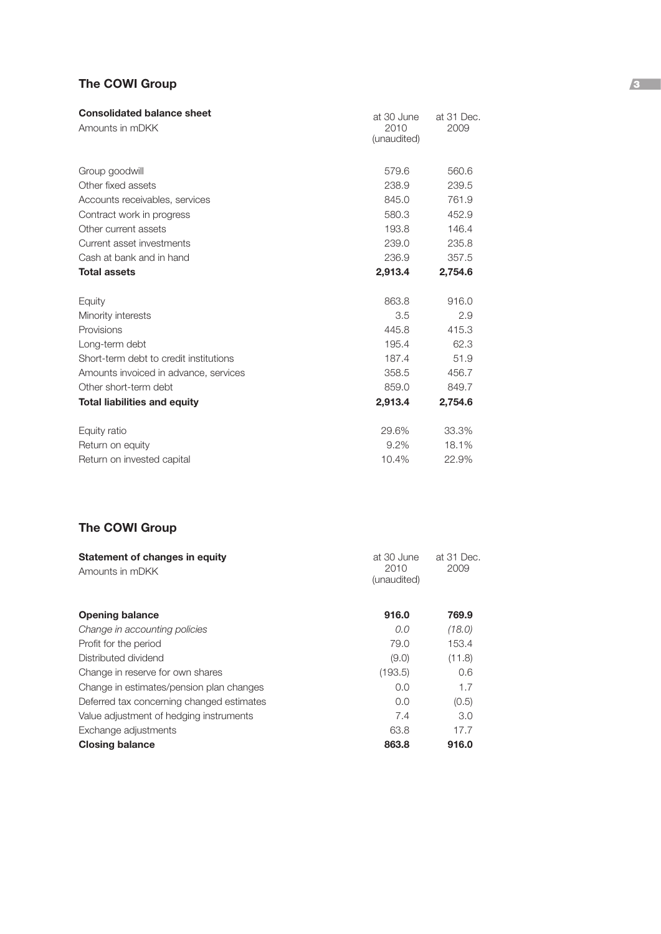### **The COWI Group** 3

| <b>Consolidated balance sheet</b>      | at 30 June          | at 31 Dec. |
|----------------------------------------|---------------------|------------|
| Amounts in mDKK                        | 2010<br>(unaudited) | 2009       |
|                                        |                     |            |
| Group goodwill                         | 579.6               | 560.6      |
| Other fixed assets                     | 238.9               | 239.5      |
| Accounts receivables, services         | 845.0               | 761.9      |
| Contract work in progress              | 580.3               | 452.9      |
| Other current assets                   | 193.8               | 146.4      |
| Current asset investments              | 239.0               | 235.8      |
| Cash at bank and in hand               | 236.9               | 357.5      |
| <b>Total assets</b>                    | 2,913.4             | 2,754.6    |
| Equity                                 | 863.8               | 916.0      |
| Minority interests                     | 3.5                 | 2.9        |
| Provisions                             | 445.8               | 415.3      |
| Long-term debt                         | 195.4               | 62.3       |
| Short-term debt to credit institutions | 187.4               | 51.9       |
| Amounts invoiced in advance, services  | 358.5               | 456.7      |
| Other short-term debt                  | 859.0               | 849.7      |
| <b>Total liabilities and equity</b>    | 2,913.4             | 2,754.6    |
| Equity ratio                           | 29.6%               | 33.3%      |
| Return on equity                       | $9.2\%$             | 18.1%      |
| Return on invested capital             | 10.4%               | 22.9%      |

### **The COWI Group**

| at 30 June                  |        |  |
|-----------------------------|--------|--|
| 2010<br>2009<br>(unaudited) |        |  |
| 916.0                       | 769.9  |  |
| 0.0                         | (18.0) |  |
| 79.0                        | 153.4  |  |
| (9.0)                       | (11.8) |  |
| (193.5)                     | 0.6    |  |
| 0.0                         | 1.7    |  |
| 0.0                         | (0.5)  |  |
| 7.4                         | 3.0    |  |
| 63.8                        | 17.7   |  |
| 863.8                       | 916.0  |  |
|                             |        |  |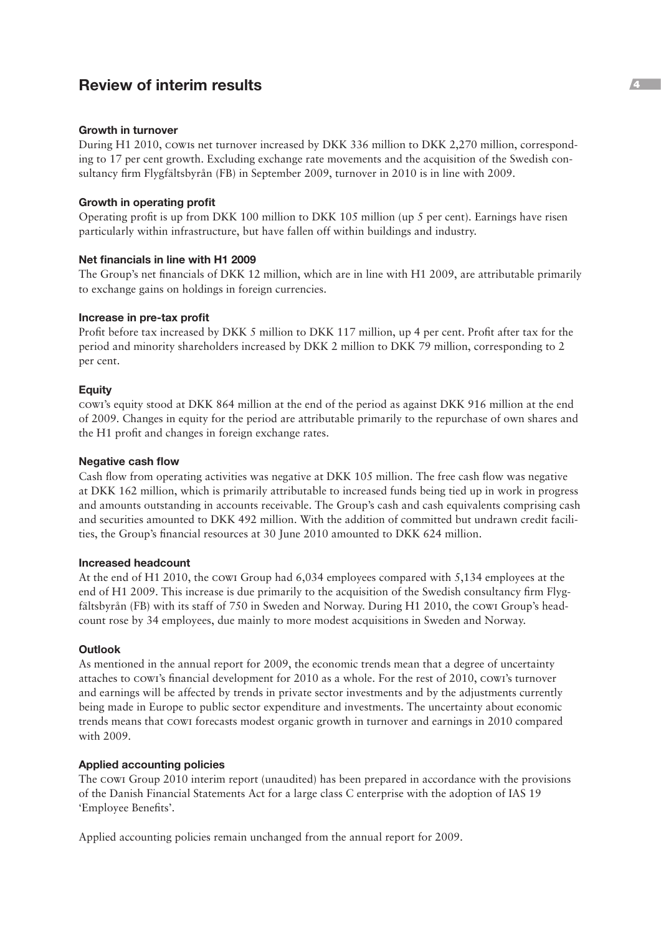# **Review of interim results** <sup>4</sup>

#### **Growth in turnover**

During H1 2010, cowis net turnover increased by DKK 336 million to DKK 2,270 million, corresponding to 17 per cent growth. Excluding exchange rate movements and the acquisition of the Swedish consultancy firm Flygfältsbyrån (FB) in September 2009, turnover in 2010 is in line with 2009.

#### **Growth in operating profit**

Operating profit is up from DKK 100 million to DKK 105 million (up 5 per cent). Earnings have risen particularly within infrastructure, but have fallen off within buildings and industry.

#### **Net financials in line with H1 2009**

The Group's net financials of DKK 12 million, which are in line with H1 2009, are attributable primarily to exchange gains on holdings in foreign currencies.

#### **Increase in pre-tax profit**

Profit before tax increased by DKK 5 million to DKK 117 million, up 4 per cent. Profit after tax for the period and minority shareholders increased by DKK 2 million to DKK 79 million, corresponding to 2 per cent.

#### **Equity**

cowi's equity stood at DKK 864 million at the end of the period as against DKK 916 million at the end of 2009. Changes in equity for the period are attributable primarily to the repurchase of own shares and the H1 profit and changes in foreign exchange rates.

#### **Negative cash flow**

Cash flow from operating activities was negative at DKK 105 million. The free cash flow was negative at DKK 162 million, which is primarily attributable to increased funds being tied up in work in progress and amounts outstanding in accounts receivable. The Group's cash and cash equivalents comprising cash and securities amounted to DKK 492 million. With the addition of committed but undrawn credit facilities, the Group's financial resources at 30 June 2010 amounted to DKK 624 million.

#### **Increased headcount**

At the end of H1 2010, the cowi Group had 6,034 employees compared with 5,134 employees at the end of H1 2009. This increase is due primarily to the acquisition of the Swedish consultancy firm Flygfältsbyrån (FB) with its staff of 750 in Sweden and Norway. During H1 2010, the cowi Group's headcount rose by 34 employees, due mainly to more modest acquisitions in Sweden and Norway.

#### **Outlook**

As mentioned in the annual report for 2009, the economic trends mean that a degree of uncertainty attaches to cowi's financial development for 2010 as a whole. For the rest of 2010, cowi's turnover and earnings will be affected by trends in private sector investments and by the adjustments currently being made in Europe to public sector expenditure and investments. The uncertainty about economic trends means that cowi forecasts modest organic growth in turnover and earnings in 2010 compared with 2009.

#### **Applied accounting policies**

The cowi Group 2010 interim report (unaudited) has been prepared in accordance with the provisions of the Danish Financial Statements Act for a large class C enterprise with the adoption of IAS 19 'Employee Benefits'.

Applied accounting policies remain unchanged from the annual report for 2009.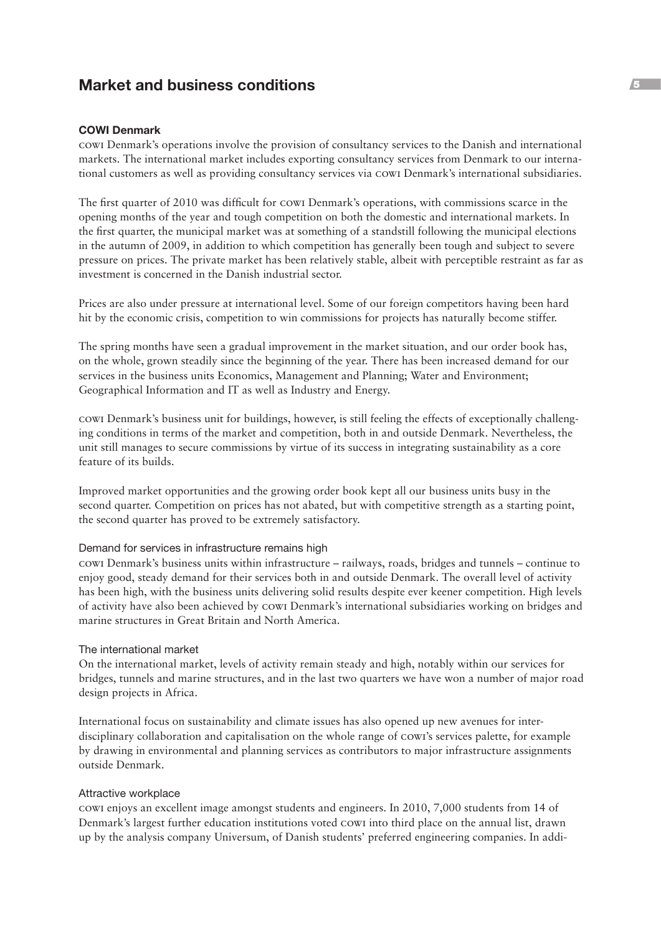# **Market and business conditions** <sup>5</sup>

#### **COWI Denmark**

cowi Denmark's operations involve the provision of consultancy services to the Danish and international markets. The international market includes exporting consultancy services from Denmark to our international customers as well as providing consultancy services via cowi Denmark's international subsidiaries.

The first quarter of 2010 was difficult for cowi Denmark's operations, with commissions scarce in the opening months of the year and tough competition on both the domestic and international markets. In the first quarter, the municipal market was at something of a standstill following the municipal elections in the autumn of 2009, in addition to which competition has generally been tough and subject to severe pressure on prices. The private market has been relatively stable, albeit with perceptible restraint as far as investment is concerned in the Danish industrial sector.

Prices are also under pressure at international level. Some of our foreign competitors having been hard hit by the economic crisis, competition to win commissions for projects has naturally become stiffer.

The spring months have seen a gradual improvement in the market situation, and our order book has, on the whole, grown steadily since the beginning of the year. There has been increased demand for our services in the business units Economics, Management and Planning; Water and Environment; Geographical Information and IT as well as Industry and Energy.

cowi Denmark's business unit for buildings, however, is still feeling the effects of exceptionally challenging conditions in terms of the market and competition, both in and outside Denmark. Nevertheless, the unit still manages to secure commissions by virtue of its success in integrating sustainability as a core feature of its builds.

Improved market opportunities and the growing order book kept all our business units busy in the second quarter. Competition on prices has not abated, but with competitive strength as a starting point, the second quarter has proved to be extremely satisfactory.

#### Demand for services in infrastructure remains high

cowi Denmark's business units within infrastructure – railways, roads, bridges and tunnels – continue to enjoy good, steady demand for their services both in and outside Denmark. The overall level of activity has been high, with the business units delivering solid results despite ever keener competition. High levels of activity have also been achieved by cowi Denmark's international subsidiaries working on bridges and marine structures in Great Britain and North America.

#### The international market

On the international market, levels of activity remain steady and high, notably within our services for bridges, tunnels and marine structures, and in the last two quarters we have won a number of major road design projects in Africa.

International focus on sustainability and climate issues has also opened up new avenues for interdisciplinary collaboration and capitalisation on the whole range of cowi's services palette, for example by drawing in environmental and planning services as contributors to major infrastructure assignments outside Denmark.

#### Attractive workplace

cowi enjoys an excellent image amongst students and engineers. In 2010, 7,000 students from 14 of Denmark's largest further education institutions voted cowi into third place on the annual list, drawn up by the analysis company Universum, of Danish students' preferred engineering companies. In addi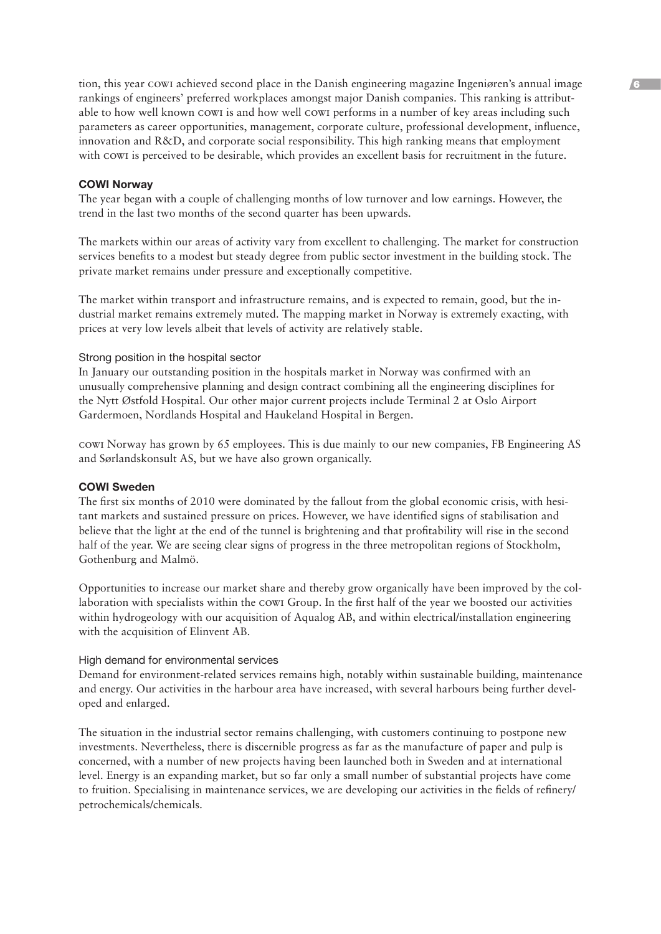tion, this year cowi achieved second place in the Danish engineering magazine Ingeniøren's annual image rankings of engineers' preferred workplaces amongst major Danish companies. This ranking is attributable to how well known cowi is and how well cowi performs in a number of key areas including such parameters as career opportunities, management, corporate culture, professional development, influence, innovation and R&D, and corporate social responsibility. This high ranking means that employment with cowi is perceived to be desirable, which provides an excellent basis for recruitment in the future.

#### **COWI Norway**

The year began with a couple of challenging months of low turnover and low earnings. However, the trend in the last two months of the second quarter has been upwards.

The markets within our areas of activity vary from excellent to challenging. The market for construction services benefits to a modest but steady degree from public sector investment in the building stock. The private market remains under pressure and exceptionally competitive.

The market within transport and infrastructure remains, and is expected to remain, good, but the industrial market remains extremely muted. The mapping market in Norway is extremely exacting, with prices at very low levels albeit that levels of activity are relatively stable.

#### Strong position in the hospital sector

In January our outstanding position in the hospitals market in Norway was confirmed with an unusually comprehensive planning and design contract combining all the engineering disciplines for the Nytt Østfold Hospital. Our other major current projects include Terminal 2 at Oslo Airport Gardermoen, Nordlands Hospital and Haukeland Hospital in Bergen.

cowi Norway has grown by 65 employees. This is due mainly to our new companies, FB Engineering AS and Sørlandskonsult AS, but we have also grown organically.

#### **COWI Sweden**

The first six months of 2010 were dominated by the fallout from the global economic crisis, with hesitant markets and sustained pressure on prices. However, we have identified signs of stabilisation and believe that the light at the end of the tunnel is brightening and that profitability will rise in the second half of the year. We are seeing clear signs of progress in the three metropolitan regions of Stockholm, Gothenburg and Malmö.

Opportunities to increase our market share and thereby grow organically have been improved by the collaboration with specialists within the cowi Group. In the first half of the year we boosted our activities within hydrogeology with our acquisition of Aqualog AB, and within electrical/installation engineering with the acquisition of Elinvent AB.

#### High demand for environmental services

Demand for environment-related services remains high, notably within sustainable building, maintenance and energy. Our activities in the harbour area have increased, with several harbours being further developed and enlarged.

The situation in the industrial sector remains challenging, with customers continuing to postpone new investments. Nevertheless, there is discernible progress as far as the manufacture of paper and pulp is concerned, with a number of new projects having been launched both in Sweden and at international level. Energy is an expanding market, but so far only a small number of substantial projects have come to fruition. Specialising in maintenance services, we are developing our activities in the fields of refinery/ petrochemicals/chemicals.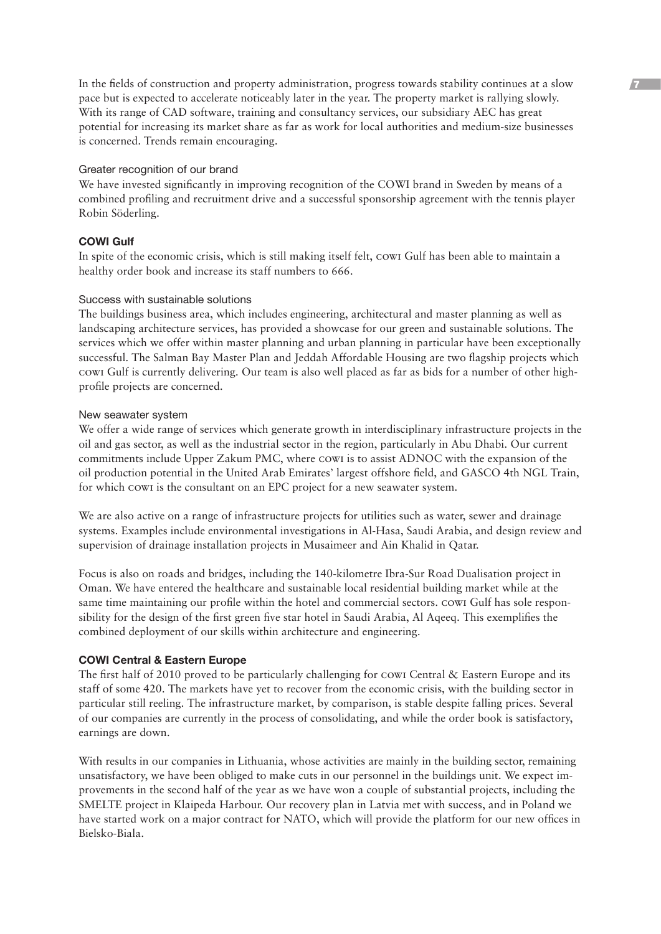In the fields of construction and property administration, progress towards stability continues at a slow  $\sqrt{7}$ pace but is expected to accelerate noticeably later in the year. The property market is rallying slowly. With its range of CAD software, training and consultancy services, our subsidiary AEC has great potential for increasing its market share as far as work for local authorities and medium-size businesses is concerned. Trends remain encouraging.

#### Greater recognition of our brand

We have invested significantly in improving recognition of the COWI brand in Sweden by means of a combined profiling and recruitment drive and a successful sponsorship agreement with the tennis player Robin Söderling.

#### **COWI Gulf**

In spite of the economic crisis, which is still making itself felt, cowi Gulf has been able to maintain a healthy order book and increase its staff numbers to 666.

#### Success with sustainable solutions

The buildings business area, which includes engineering, architectural and master planning as well as landscaping architecture services, has provided a showcase for our green and sustainable solutions. The services which we offer within master planning and urban planning in particular have been exceptionally successful. The Salman Bay Master Plan and Jeddah Affordable Housing are two flagship projects which cowi Gulf is currently delivering. Our team is also well placed as far as bids for a number of other highprofile projects are concerned.

#### New seawater system

We offer a wide range of services which generate growth in interdisciplinary infrastructure projects in the oil and gas sector, as well as the industrial sector in the region, particularly in Abu Dhabi. Our current commitments include Upper Zakum PMC, where cowi is to assist ADNOC with the expansion of the oil production potential in the United Arab Emirates' largest offshore field, and GASCO 4th NGL Train, for which cowi is the consultant on an EPC project for a new seawater system.

We are also active on a range of infrastructure projects for utilities such as water, sewer and drainage systems. Examples include environmental investigations in Al-Hasa, Saudi Arabia, and design review and supervision of drainage installation projects in Musaimeer and Ain Khalid in Qatar.

Focus is also on roads and bridges, including the 140-kilometre Ibra-Sur Road Dualisation project in Oman. We have entered the healthcare and sustainable local residential building market while at the same time maintaining our profile within the hotel and commercial sectors. cowi Gulf has sole responsibility for the design of the first green five star hotel in Saudi Arabia, Al Aqeeq. This exemplifies the combined deployment of our skills within architecture and engineering.

#### **COWI Central & Eastern Europe**

The first half of 2010 proved to be particularly challenging for cowi Central & Eastern Europe and its staff of some 420. The markets have yet to recover from the economic crisis, with the building sector in particular still reeling. The infrastructure market, by comparison, is stable despite falling prices. Several of our companies are currently in the process of consolidating, and while the order book is satisfactory, earnings are down.

With results in our companies in Lithuania, whose activities are mainly in the building sector, remaining unsatisfactory, we have been obliged to make cuts in our personnel in the buildings unit. We expect improvements in the second half of the year as we have won a couple of substantial projects, including the SMELTE project in Klaipeda Harbour. Our recovery plan in Latvia met with success, and in Poland we have started work on a major contract for NATO, which will provide the platform for our new offices in Bielsko-Biala.